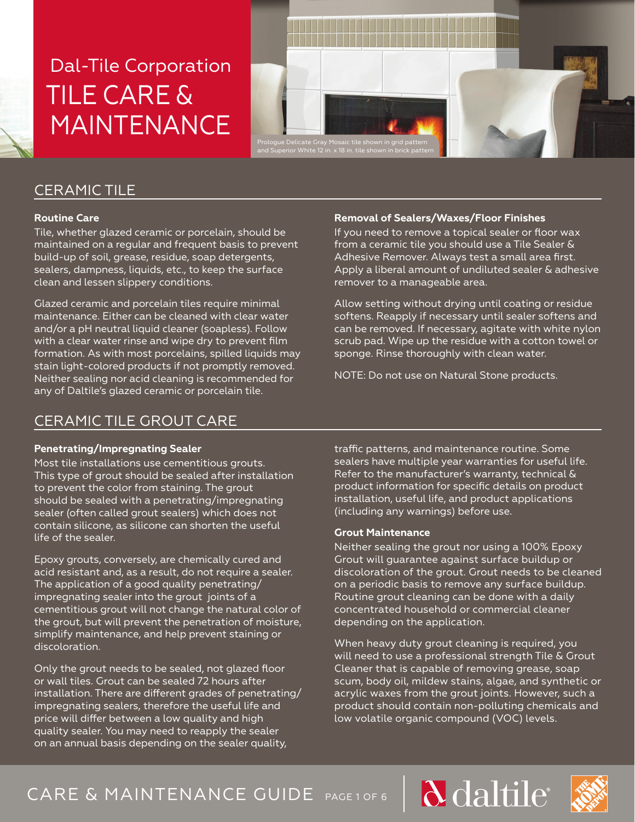

## CERAMIC TILE

### **Routine Care**

Tile, whether glazed ceramic or porcelain, should be maintained on a regular and frequent basis to prevent build-up of soil, grease, residue, soap detergents, sealers, dampness, liquids, etc., to keep the surface clean and lessen slippery conditions.

Glazed ceramic and porcelain tiles require minimal maintenance. Either can be cleaned with clear water and/or a pH neutral liquid cleaner (soapless). Follow with a clear water rinse and wipe dry to prevent film formation. As with most porcelains, spilled liquids may stain light-colored products if not promptly removed. Neither sealing nor acid cleaning is recommended for any of Daltile's glazed ceramic or porcelain tile.

## CERAMIC TILE GROUT CARE

### **Penetrating/Impregnating Sealer**

Most tile installations use cementitious grouts. This type of grout should be sealed after installation to prevent the color from staining. The grout should be sealed with a penetrating/impregnating sealer (often called grout sealers) which does not contain silicone, as silicone can shorten the useful life of the sealer.

Epoxy grouts, conversely, are chemically cured and acid resistant and, as a result, do not require a sealer. The application of a good quality penetrating/ impregnating sealer into the grout joints of a cementitious grout will not change the natural color of the grout, but will prevent the penetration of moisture, simplify maintenance, and help prevent staining or discoloration.

Only the grout needs to be sealed, not glazed floor or wall tiles. Grout can be sealed 72 hours after installation. There are different grades of penetrating/ impregnating sealers, therefore the useful life and price will differ between a low quality and high quality sealer. You may need to reapply the sealer on an annual basis depending on the sealer quality,

### **Removal of Sealers/Waxes/Floor Finishes**

If you need to remove a topical sealer or floor wax from a ceramic tile you should use a Tile Sealer & Adhesive Remover. Always test a small area first. Apply a liberal amount of undiluted sealer & adhesive remover to a manageable area.

Allow setting without drying until coating or residue softens. Reapply if necessary until sealer softens and can be removed. If necessary, agitate with white nylon scrub pad. Wipe up the residue with a cotton towel or sponge. Rinse thoroughly with clean water.

NOTE: Do not use on Natural Stone products.

traffic patterns, and maintenance routine. Some sealers have multiple year warranties for useful life. Refer to the manufacturer's warranty, technical & product information for specific details on product installation, useful life, and product applications (including any warnings) before use.

### **Grout Maintenance**

Neither sealing the grout nor using a 100% Epoxy Grout will guarantee against surface buildup or discoloration of the grout. Grout needs to be cleaned on a periodic basis to remove any surface buildup. Routine grout cleaning can be done with a daily concentrated household or commercial cleaner depending on the application.

When heavy duty grout cleaning is required, you will need to use a professional strength Tile & Grout Cleaner that is capable of removing grease, soap scum, body oil, mildew stains, algae, and synthetic or acrylic waxes from the grout joints. However, such a product should contain non-polluting chemicals and low volatile organic compound (VOC) levels.

# CARE & MAINTENANCE GUIDE PAGE 1 OF 6

d daltile

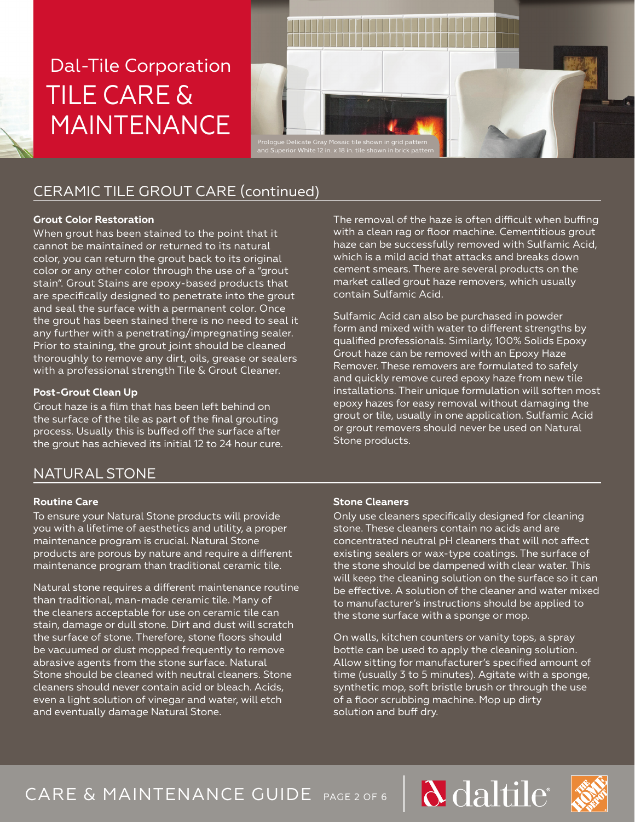

contain Sulfamic Acid.



## CERAMIC TILE GROUT CARE (continued)

### **Grout Color Restoration**

When grout has been stained to the point that it cannot be maintained or returned to its natural color, you can return the grout back to its original color or any other color through the use of a "grout stain". Grout Stains are epoxy-based products that are specifically designed to penetrate into the grout and seal the surface with a permanent color. Once the grout has been stained there is no need to seal it any further with a penetrating/impregnating sealer. Prior to staining, the grout joint should be cleaned thoroughly to remove any dirt, oils, grease or sealers with a professional strength Tile & Grout Cleaner.

### **Post-Grout Clean Up**

Grout haze is a film that has been left behind on the surface of the tile as part of the final grouting process. Usually this is buffed off the surface after the grout has achieved its initial 12 to 24 hour cure.

## NATURAL STONE

### **Routine Care**

To ensure your Natural Stone products will provide you with a lifetime of aesthetics and utility, a proper maintenance program is crucial. Natural Stone products are porous by nature and require a different maintenance program than traditional ceramic tile.

Natural stone requires a different maintenance routine than traditional, man-made ceramic tile. Many of the cleaners acceptable for use on ceramic tile can stain, damage or dull stone. Dirt and dust will scratch the surface of stone. Therefore, stone floors should be vacuumed or dust mopped frequently to remove abrasive agents from the stone surface. Natural Stone should be cleaned with neutral cleaners. Stone cleaners should never contain acid or bleach. Acids, even a light solution of vinegar and water, will etch and eventually damage Natural Stone.

### **Stone Cleaners**

Stone products.

Only use cleaners specifically designed for cleaning stone. These cleaners contain no acids and are concentrated neutral pH cleaners that will not affect existing sealers or wax-type coatings. The surface of the stone should be dampened with clear water. This will keep the cleaning solution on the surface so it can be effective. A solution of the cleaner and water mixed to manufacturer's instructions should be applied to the stone surface with a sponge or mop.

The removal of the haze is often difficult when buffing with a clean rag or floor machine. Cementitious grout haze can be successfully removed with Sulfamic Acid, which is a mild acid that attacks and breaks down cement smears. There are several products on the market called grout haze removers, which usually

Sulfamic Acid can also be purchased in powder form and mixed with water to different strengths by qualified professionals. Similarly, 100% Solids Epoxy Grout haze can be removed with an Epoxy Haze Remover. These removers are formulated to safely and quickly remove cured epoxy haze from new tile installations. Their unique formulation will soften most epoxy hazes for easy removal without damaging the grout or tile, usually in one application. Sulfamic Acid or grout removers should never be used on Natural

On walls, kitchen counters or vanity tops, a spray bottle can be used to apply the cleaning solution. Allow sitting for manufacturer's specified amount of time (usually 3 to 5 minutes). Agitate with a sponge, synthetic mop, soft bristle brush or through the use of a floor scrubbing machine. Mop up dirty solution and buff dry.

# CARE & MAINTENANCE GUIDE PAGE 2 OF 6

daltile

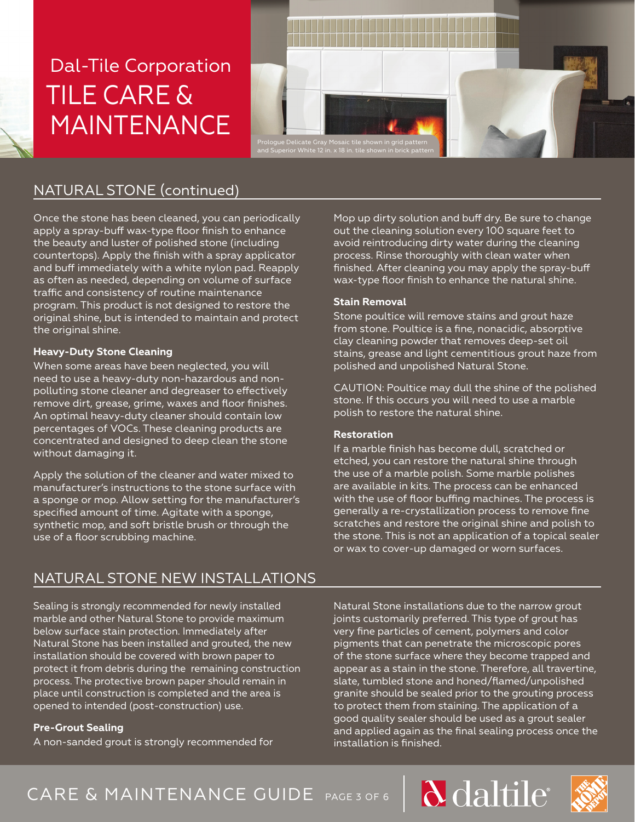

## NATURAL STONE (continued)

Once the stone has been cleaned, you can periodically apply a spray-buff wax-type floor finish to enhance the beauty and luster of polished stone (including countertops). Apply the finish with a spray applicator and buff immediately with a white nylon pad. Reapply as often as needed, depending on volume of surface traffic and consistency of routine maintenance program. This product is not designed to restore the original shine, but is intended to maintain and protect the original shine.

### **Heavy-Duty Stone Cleaning**

When some areas have been neglected, you will need to use a heavy-duty non-hazardous and nonpolluting stone cleaner and degreaser to effectively remove dirt, grease, grime, waxes and floor finishes. An optimal heavy-duty cleaner should contain low percentages of VOCs. These cleaning products are concentrated and designed to deep clean the stone without damaging it.

Apply the solution of the cleaner and water mixed to manufacturer's instructions to the stone surface with a sponge or mop. Allow setting for the manufacturer's specified amount of time. Agitate with a sponge, synthetic mop, and soft bristle brush or through the use of a floor scrubbing machine.

Mop up dirty solution and buff dry. Be sure to change out the cleaning solution every 100 square feet to avoid reintroducing dirty water during the cleaning process. Rinse thoroughly with clean water when finished. After cleaning you may apply the spray-buff wax-type floor finish to enhance the natural shine.

### **Stain Removal**

Stone poultice will remove stains and grout haze from stone. Poultice is a fine, nonacidic, absorptive clay cleaning powder that removes deep-set oil stains, grease and light cementitious grout haze from polished and unpolished Natural Stone.

CAUTION: Poultice may dull the shine of the polished stone. If this occurs you will need to use a marble polish to restore the natural shine.

### **Restoration**

If a marble finish has become dull, scratched or etched, you can restore the natural shine through the use of a marble polish. Some marble polishes are available in kits. The process can be enhanced with the use of floor buffing machines. The process is generally a re-crystallization process to remove fine scratches and restore the original shine and polish to the stone. This is not an application of a topical sealer or wax to cover-up damaged or worn surfaces.

### NATURAL STONE NEW INSTALLATIONS

Sealing is strongly recommended for newly installed marble and other Natural Stone to provide maximum below surface stain protection. Immediately after Natural Stone has been installed and grouted, the new installation should be covered with brown paper to protect it from debris during the remaining construction process. The protective brown paper should remain in place until construction is completed and the area is opened to intended (post-construction) use.

### **Pre-Grout Sealing**

A non-sanded grout is strongly recommended for

Natural Stone installations due to the narrow grout joints customarily preferred. This type of grout has very fine particles of cement, polymers and color pigments that can penetrate the microscopic pores of the stone surface where they become trapped and appear as a stain in the stone. Therefore, all travertine, slate, tumbled stone and honed/flamed/unpolished granite should be sealed prior to the grouting process to protect them from staining. The application of a good quality sealer should be used as a grout sealer and applied again as the final sealing process once the installation is finished.

CARE & MAINTENANCE GUIDE PAGE 3 OF 6



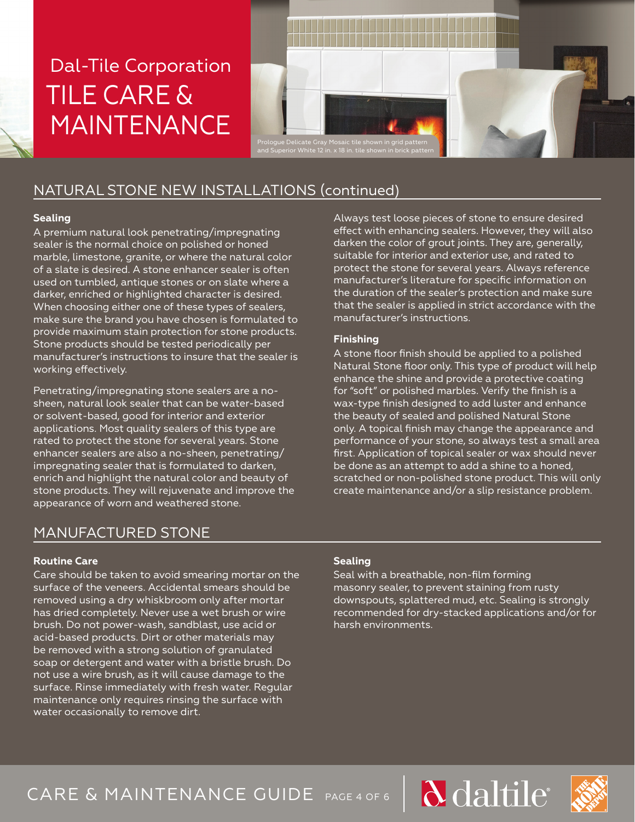



# NATURAL STONE NEW INSTALLATIONS (continued)

### **Sealing**

A premium natural look penetrating/impregnating sealer is the normal choice on polished or honed marble, limestone, granite, or where the natural color of a slate is desired. A stone enhancer sealer is often used on tumbled, antique stones or on slate where a darker, enriched or highlighted character is desired. When choosing either one of these types of sealers, make sure the brand you have chosen is formulated to provide maximum stain protection for stone products. Stone products should be tested periodically per manufacturer's instructions to insure that the sealer is working effectively.

Penetrating/impregnating stone sealers are a nosheen, natural look sealer that can be water-based or solvent-based, good for interior and exterior applications. Most quality sealers of this type are rated to protect the stone for several years. Stone enhancer sealers are also a no-sheen, penetrating/ impregnating sealer that is formulated to darken, enrich and highlight the natural color and beauty of stone products. They will rejuvenate and improve the appearance of worn and weathered stone.

## MANUFACTURED STONE

### **Routine Care**

Care should be taken to avoid smearing mortar on the surface of the veneers. Accidental smears should be removed using a dry whiskbroom only after mortar has dried completely. Never use a wet brush or wire brush. Do not power-wash, sandblast, use acid or acid-based products. Dirt or other materials may be removed with a strong solution of granulated soap or detergent and water with a bristle brush. Do not use a wire brush, as it will cause damage to the surface. Rinse immediately with fresh water. Regular maintenance only requires rinsing the surface with water occasionally to remove dirt.

Always test loose pieces of stone to ensure desired effect with enhancing sealers. However, they will also darken the color of grout joints. They are, generally, suitable for interior and exterior use, and rated to protect the stone for several years. Always reference manufacturer's literature for specific information on the duration of the sealer's protection and make sure that the sealer is applied in strict accordance with the manufacturer's instructions.

### **Finishing**

A stone floor finish should be applied to a polished Natural Stone floor only. This type of product will help enhance the shine and provide a protective coating for "soft" or polished marbles. Verify the finish is a wax-type finish designed to add luster and enhance the beauty of sealed and polished Natural Stone only. A topical finish may change the appearance and performance of your stone, so always test a small area first. Application of topical sealer or wax should never be done as an attempt to add a shine to a honed, scratched or non-polished stone product. This will only create maintenance and/or a slip resistance problem.

### **Sealing**

Seal with a breathable, non-film forming masonry sealer, to prevent staining from rusty downspouts, splattered mud, etc. Sealing is strongly recommended for dry-stacked applications and/or for harsh environments.

# CARE & MAINTENANCE GUIDE PAGE 4 OF 6



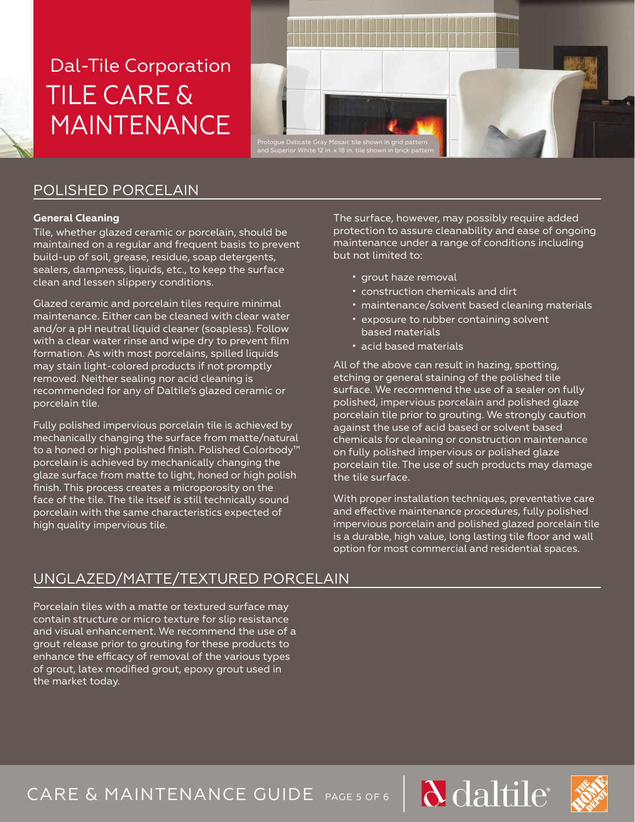

## POLISHED PORCELAIN

#### **General Cleaning**

Tile, whether glazed ceramic or porcelain, should be maintained on a regular and frequent basis to prevent build-up of soil, grease, residue, soap detergents, sealers, dampness, liquids, etc., to keep the surface clean and lessen slippery conditions.

Glazed ceramic and porcelain tiles require minimal maintenance. Either can be cleaned with clear water and/or a pH neutral liquid cleaner (soapless). Follow with a clear water rinse and wipe dry to prevent film formation. As with most porcelains, spilled liquids may stain light-colored products if not promptly removed. Neither sealing nor acid cleaning is recommended for any of Daltile's glazed ceramic or porcelain tile.

Fully polished impervious porcelain tile is achieved by mechanically changing the surface from matte/natural to a honed or high polished finish. Polished Colorbody™ porcelain is achieved by mechanically changing the glaze surface from matte to light, honed or high polish finish. This process creates a microporosity on the face of the tile. The tile itself is still technically sound porcelain with the same characteristics expected of high quality impervious tile.

The surface, however, may possibly require added protection to assure cleanability and ease of ongoing maintenance under a range of conditions including but not limited to:

- grout haze removal
- construction chemicals and dirt
- maintenance/solvent based cleaning materials
- exposure to rubber containing solvent based materials
- acid based materials

All of the above can result in hazing, spotting, etching or general staining of the polished tile surface. We recommend the use of a sealer on fully polished, impervious porcelain and polished glaze porcelain tile prior to grouting. We strongly caution against the use of acid based or solvent based chemicals for cleaning or construction maintenance on fully polished impervious or polished glaze porcelain tile. The use of such products may damage the tile surface.

With proper installation techniques, preventative care and effective maintenance procedures, fully polished impervious porcelain and polished glazed porcelain tile is a durable, high value, long lasting tile floor and wall option for most commercial and residential spaces.

## UNGLAZED/MATTE/TEXTURED PORCELAIN

Porcelain tiles with a matte or textured surface may contain structure or micro texture for slip resistance and visual enhancement. We recommend the use of a grout release prior to grouting for these products to enhance the efficacy of removal of the various types of grout, latex modified grout, epoxy grout used in the market today.

CARE & MAINTENANCE GUIDE PAGE 5 OF 6